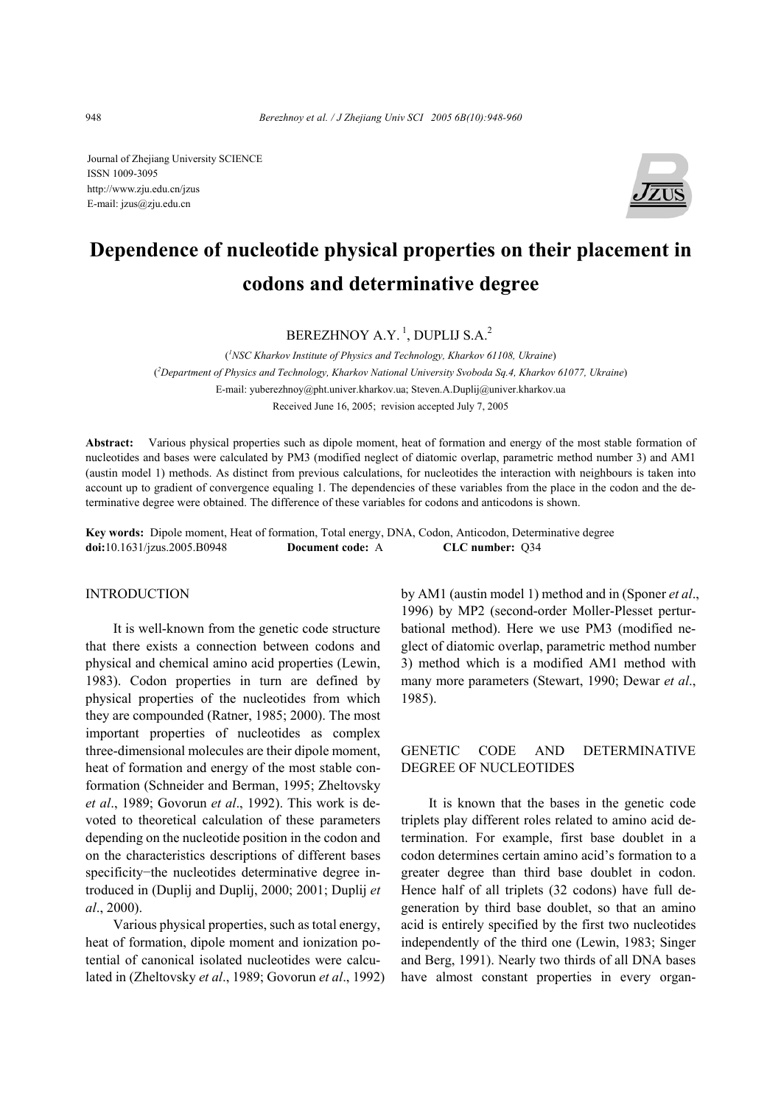Journal of Zhejiang University SCIENCE ISSN 1009-3095 http://www.zju.edu.cn/jzus E-mail: jzus@zju.edu.cn



# **Dependence of nucleotide physical properties on their placement in codons and determinative degree**

BEREZHNOY A.Y.<sup>1</sup>, DUPLIJ S.A.<sup>2</sup>

( *1 NSC Kharkov Institute of Physics and Technology, Kharkov 61108, Ukraine*) ( *2 Department of Physics and Technology, Kharkov National University Svoboda Sq.4, Kharkov 61077, Ukraine*) E-mail: yuberezhnoy@pht.univer.kharkov.ua; Steven.A.Duplij@univer.kharkov.ua Received June 16, 2005; revision accepted July 7, 2005

**Abstract:** Various physical properties such as dipole moment, heat of formation and energy of the most stable formation of nucleotides and bases were calculated by PM3 (modified neglect of diatomic overlap, parametric method number 3) and AM1 (austin model 1) methods. As distinct from previous calculations, for nucleotides the interaction with neighbours is taken into account up to gradient of convergence equaling 1. The dependencies of these variables from the place in the codon and the determinative degree were obtained. The difference of these variables for codons and anticodons is shown.

**Key words:** Dipole moment, Heat of formation, Total energy, DNA, Codon, Anticodon, Determinative degree **doi:**10.1631/jzus.2005.B0948 **Document code:** A **CLC number:** Q34

#### INTRODUCTION

It is well-known from the genetic code structure that there exists a connection between codons and physical and chemical amino acid properties (Lewin, 1983). Codon properties in turn are defined by physical properties of the nucleotides from which they are compounded (Ratner, 1985; 2000). The most important properties of nucleotides as complex three-dimensional molecules are their dipole moment, heat of formation and energy of the most stable conformation (Schneider and Berman, 1995; Zheltovsky *et al*., 1989; Govorun *et al*., 1992). This work is devoted to theoretical calculation of these parameters depending on the nucleotide position in the codon and on the characteristics descriptions of different bases specificity−the nucleotides determinative degree introduced in (Duplij and Duplij, 2000; 2001; Duplij *et al*., 2000).

Various physical properties, such as total energy, heat of formation, dipole moment and ionization potential of canonical isolated nucleotides were calculated in (Zheltovsky *et al*., 1989; Govorun *et al*., 1992) by AM1 (austin model 1) method and in (Sponer *et al*., 1996) by MP2 (second-order Moller-Plesset perturbational method). Here we use PM3 (modified neglect of diatomic overlap, parametric method number 3) method which is a modified AM1 method with many more parameters (Stewart, 1990; Dewar *et al*., 1985).

## GENETIC CODE AND DETERMINATIVE DEGREE OF NUCLEOTIDES

It is known that the bases in the genetic code triplets play different roles related to amino acid determination. For example, first base doublet in a codon determines certain amino acid's formation to a greater degree than third base doublet in codon. Hence half of all triplets (32 codons) have full degeneration by third base doublet, so that an amino acid is entirely specified by the first two nucleotides independently of the third one (Lewin, 1983; Singer and Berg, 1991). Nearly two thirds of all DNA bases have almost constant properties in every organ-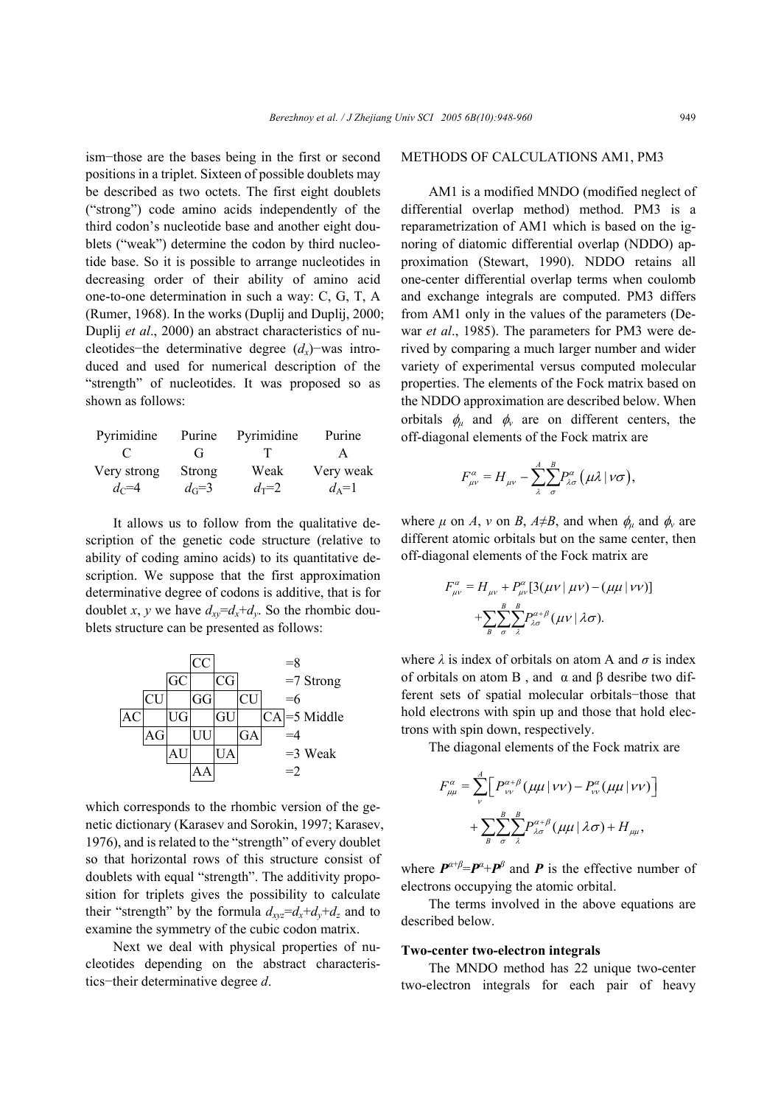ism−those are the bases being in the first or second positions in a triplet. Sixteen of possible doublets may be described as two octets. The first eight doublets ("strong") code amino acids independently of the third codon's nucleotide base and another eight doublets ("weak") determine the codon by third nucleotide base. So it is possible to arrange nucleotides in decreasing order of their ability of amino acid one-to-one determination in such a way: C, G, T, A (Rumer, 1968). In the works (Duplij and Duplij, 2000; Duplij *et al*., 2000) an abstract characteristics of nucleotides−the determinative degree (*dx*)−was introduced and used for numerical description of the "strength" of nucleotides. It was proposed so as shown as follows:

| Pyrimidine   | Purine       | Pyrimidine | Purine    |
|--------------|--------------|------------|-----------|
| $\mathbf{C}$ | $\mathbf{r}$ |            |           |
| Very strong  | Strong       | Weak       | Very weak |
| $d_c=4$      | $d_G=3$      | $d_T = 2$  | $d_A=1$   |

It allows us to follow from the qualitative description of the genetic code structure (relative to ability of coding amino acids) to its quantitative description. We suppose that the first approximation determinative degree of codons is additive, that is for doublet *x*, *y* we have  $d_{xy} = d_x + d_y$ . So the rhombic doublets structure can be presented as follows:



which corresponds to the rhombic version of the genetic dictionary (Karasev and Sorokin, 1997; Karasev, 1976), and is related to the "strength" of every doublet so that horizontal rows of this structure consist of doublets with equal "strength". The additivity proposition for triplets gives the possibility to calculate their "strength" by the formula  $d_{xyz} = d_x + d_y + d_z$  and to examine the symmetry of the cubic codon matrix.

Next we deal with physical properties of nucleotides depending on the abstract characteristics−their determinative degree *d*.

#### METHODS OF CALCULATIONS AM1, PM3

AM1 is a modified MNDO (modified neglect of differential overlap method) method. PM3 is a reparametrization of AM1 which is based on the ignoring of diatomic differential overlap (NDDO) approximation (Stewart, 1990). NDDO retains all one-center differential overlap terms when coulomb and exchange integrals are computed. PM3 differs from AM1 only in the values of the parameters (Dewar *et al*., 1985). The parameters for PM3 were derived by comparing a much larger number and wider variety of experimental versus computed molecular properties. The elements of the Fock matrix based on the NDDO approximation are described below. When orbitals  $\phi_{\mu}$  and  $\phi_{\nu}$  are on different centers, the off-diagonal elements of the Fock matrix are

$$
F_{\mu\nu}^{\alpha} = H_{\mu\nu} - \sum_{\lambda}^{A} \sum_{\sigma}^{B} P_{\lambda\sigma}^{\alpha} (\mu \lambda \mid \nu \sigma),
$$

where  $\mu$  on *A*,  $\nu$  on *B*,  $A \neq B$ , and when  $\phi_{\mu}$  and  $\phi_{\nu}$  are different atomic orbitals but on the same center, then off-diagonal elements of the Fock matrix are

$$
F_{\mu\nu}^{\alpha} = H_{\mu\nu} + P_{\mu\nu}^{\alpha} [3(\mu\nu \mid \mu\nu) - (\mu\mu \mid \nu\nu)]
$$

$$
+ \sum_{B} \sum_{\sigma}^{B} \sum_{\lambda}^{B} P_{\lambda\sigma}^{\alpha+\beta} (\mu\nu \mid \lambda\sigma).
$$

where  $\lambda$  is index of orbitals on atom A and  $\sigma$  is index of orbitals on atom B, and  $\alpha$  and  $\beta$  desribe two different sets of spatial molecular orbitals−those that hold electrons with spin up and those that hold electrons with spin down, respectively.

The diagonal elements of the Fock matrix are

$$
F_{\mu\mu}^{\alpha} = \sum_{\nu}^{A} \Big[ P_{\nu\nu}^{\alpha+\beta} (\mu\mu \,|\, \nu\nu) - P_{\nu\nu}^{\alpha} (\mu\mu \,|\, \nu\nu) \Big] + \sum_{B} \sum_{\sigma}^{B} \sum_{\lambda}^{B} P_{\lambda\sigma}^{\alpha+\beta} (\mu\mu \,|\, \lambda\sigma) + H_{\mu\mu},
$$

where  $P^{\alpha+\beta} = P^{\alpha} + P^{\beta}$  and *P* is the effective number of electrons occupying the atomic orbital.

The terms involved in the above equations are described below.

#### **Two-center two-electron integrals**

The MNDO method has 22 unique two-center two-electron integrals for each pair of heavy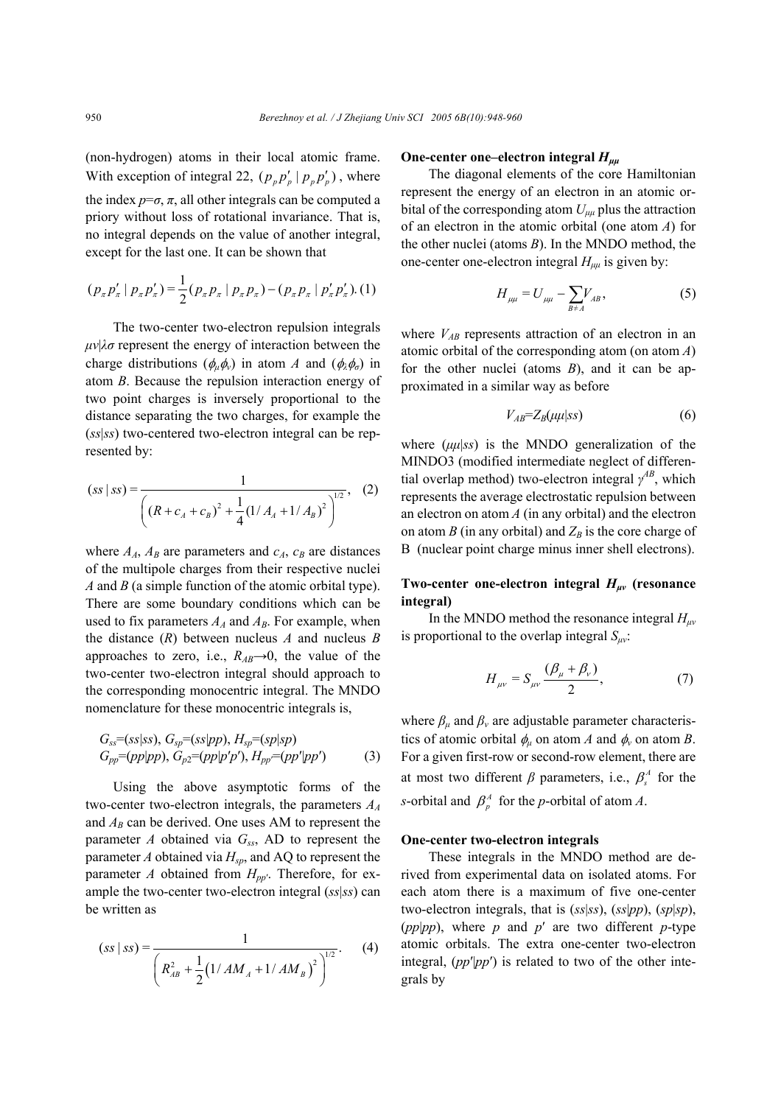(non-hydrogen) atoms in their local atomic frame. With exception of integral 22,  $(p_p p'_p | p_p p'_p)$ , where the index  $p=\sigma, \pi$ , all other integrals can be computed a priory without loss of rotational invariance. That is, no integral depends on the value of another integral, except for the last one. It can be shown that

$$
(p_{\pi}p'_{\pi} | p_{\pi}p'_{\pi}) = \frac{1}{2}(p_{\pi}p_{\pi} | p_{\pi}p_{\pi}) - (p_{\pi}p_{\pi} | p'_{\pi}p'_{\pi}). (1)
$$

The two-center two-electron repulsion integrals *µν*|*λσ* represent the energy of interaction between the charge distributions ( $\phi_u \phi_v$ ) in atom *A* and ( $\phi_d \phi_{\sigma}$ ) in atom *B*. Because the repulsion interaction energy of two point charges is inversely proportional to the distance separating the two charges, for example the (*ss*|*ss*) two-centered two-electron integral can be represented by:

$$
(ss|ss) = \frac{1}{\left( (R + c_A + c_B)^2 + \frac{1}{4} (1/A_A + 1/A_B)^2 \right)^{1/2}},
$$
 (2)

where  $A_A$ ,  $A_B$  are parameters and  $c_A$ ,  $c_B$  are distances of the multipole charges from their respective nuclei *A* and *B* (a simple function of the atomic orbital type). There are some boundary conditions which can be used to fix parameters  $A_A$  and  $A_B$ . For example, when the distance (*R*) between nucleus *A* and nucleus *B* approaches to zero, i.e.,  $R_{AB} \rightarrow 0$ , the value of the two-center two-electron integral should approach to the corresponding monocentric integral. The MNDO nomenclature for these monocentric integrals is,

$$
Gss = (ss|ss), Gsp = (ss|pp), Hsp = (sp|sp)Gpp = (pp|pp), Gp2 = (pp|p'p'), Hpp = (pp'|pp') (3)
$$

Using the above asymptotic forms of the two-center two-electron integrals, the parameters  $A_A$ and  $A_B$  can be derived. One uses AM to represent the parameter  $A$  obtained via  $G_{ss}$ , AD to represent the parameter *A* obtained via  $H_{sp}$ , and AQ to represent the parameter *A* obtained from  $H_{pp'}$ . Therefore, for example the two-center two-electron integral (*ss*|*ss*) can be written as

$$
(ss \mid ss) = \frac{1}{\left(R_{AB}^2 + \frac{1}{2} (1 / AM_A + 1 / AM_B)^2\right)^{1/2}}.
$$
 (4)

#### **One-center one–electron integral** *Hµµ*

The diagonal elements of the core Hamiltonian represent the energy of an electron in an atomic orbital of the corresponding atom  $U_{\mu\mu}$  plus the attraction of an electron in the atomic orbital (one atom *A*) for the other nuclei (atoms *B*). In the MNDO method, the one-center one-electron integral  $H_{\mu\mu}$  is given by:

$$
H_{\mu\mu} = U_{\mu\mu} - \sum_{B \neq A} V_{AB},\tag{5}
$$

where  $V_{AB}$  represents attraction of an electron in an atomic orbital of the corresponding atom (on atom *A*) for the other nuclei (atoms *B*), and it can be approximated in a similar way as before

$$
V_{AB} = Z_B(\mu\mu|ss) \tag{6}
$$

where  $(\mu\mu|ss)$  is the MNDO generalization of the MINDO3 (modified intermediate neglect of differential overlap method) two-electron integral  $\gamma^{AB}$ , which represents the average electrostatic repulsion between an electron on atom *A* (in any orbital) and the electron on atom *B* (in any orbital) and  $Z_B$  is the core charge of B (nuclear point charge minus inner shell electrons).

## **Two-center one-electron integral** *Hµν* **(resonance integral)**

In the MNDO method the resonance integral  $H_{\mu\nu}$ is proportional to the overlap integral  $S_{\mu\nu}$ .

$$
H_{\mu\nu} = S_{\mu\nu} \frac{(\beta_{\mu} + \beta_{\nu})}{2},
$$
 (7)

where  $\beta_{\mu}$  and  $\beta_{\nu}$  are adjustable parameter characteristics of atomic orbital  $\phi_u$  on atom *A* and  $\phi_v$  on atom *B*. For a given first-row or second-row element, there are at most two different  $\beta$  parameters, i.e.,  $\beta_s^A$  for the *s*-orbital and  $\beta_n^A$  for the *p*-orbital of atom *A*.

## **One-center two-electron integrals**

These integrals in the MNDO method are derived from experimental data on isolated atoms. For each atom there is a maximum of five one-center two-electron integrals, that is (*ss*|*ss*), (*ss*|*pp*), (*sp*|*sp*),  $(pp|pp)$ , where *p* and *p'* are two different *p*-type atomic orbitals. The extra one-center two-electron integral,  $(pp'|pp')$  is related to two of the other integrals by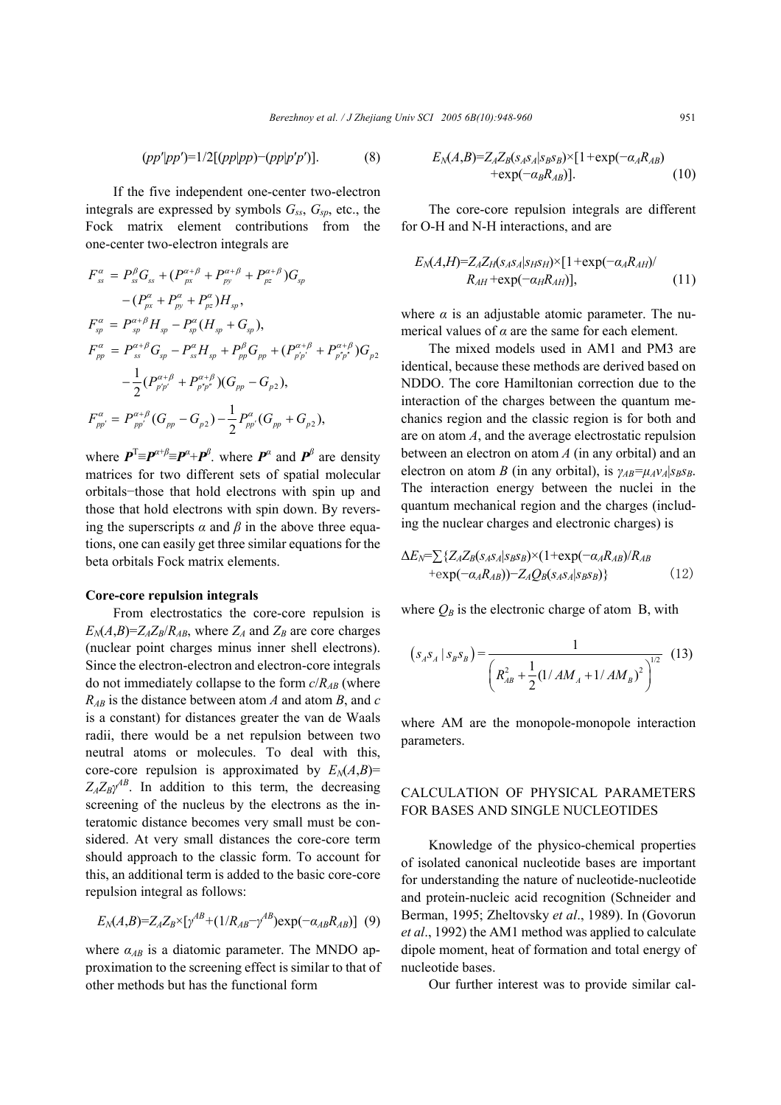$$
(pp'|pp')=1/2[(pp|pp)-(pp|p'p')].\tag{8}
$$

If the five independent one-center two-electron integrals are expressed by symbols  $G_{ss}$ ,  $G_{sp}$ , etc., the Fock matrix element contributions from the one-center two-electron integrals are

$$
F_{ss}^{\alpha} = P_{ss}^{\beta} G_{ss} + (P_{px}^{\alpha+\beta} + P_{py}^{\alpha+\beta} + P_{pz}^{\alpha+\beta}) G_{sp}
$$
  
\n
$$
- (P_{px}^{\alpha} + P_{py}^{\alpha} + P_{pz}^{\alpha}) H_{sp},
$$
  
\n
$$
F_{sp}^{\alpha} = P_{sp}^{\alpha+\beta} H_{sp} - P_{sp}^{\alpha} (H_{sp} + G_{sp}),
$$
  
\n
$$
F_{pp}^{\alpha} = P_{ss}^{\alpha+\beta} G_{sp} - P_{ss}^{\alpha} H_{sp} + P_{pp}^{\beta} G_{pp} + (P_{p'p'}^{\alpha+\beta} + P_{p'p'}^{\alpha+\beta}) G_{p2}
$$
  
\n
$$
- \frac{1}{2} (P_{p'p'}^{\alpha+\beta} + P_{p'p'}^{\alpha+\beta}) (G_{pp} - G_{p2}),
$$
  
\n
$$
F_{pp}^{\alpha} = P_{pp'}^{\alpha+\beta} (G_{pp} - G_{p2}) - \frac{1}{2} P_{pp'}^{\alpha} (G_{pp} + G_{p2}),
$$

where  $P^T = P^{\alpha+\beta} = P^{\alpha} + P^{\beta}$ , where  $P^{\alpha}$  and  $P^{\beta}$  are density matrices for two different sets of spatial molecular orbitals−those that hold electrons with spin up and those that hold electrons with spin down. By reversing the superscripts  $\alpha$  and  $\beta$  in the above three equations, one can easily get three similar equations for the beta orbitals Fock matrix elements.

#### **Core-core repulsion integrals**

From electrostatics the core-core repulsion is  $E_N(A,B)=Z_AZ_B/R_{AB}$ , where  $Z_A$  and  $Z_B$  are core charges (nuclear point charges minus inner shell electrons). Since the electron-electron and electron-core integrals do not immediately collapse to the form *c*/*RAB* (where  $R_{AB}$  is the distance between atom *A* and atom *B*, and *c* is a constant) for distances greater the van de Waals radii, there would be a net repulsion between two neutral atoms or molecules. To deal with this, core-core repulsion is approximated by  $E_N(A,B)$ =  $Z_A Z_B \gamma^{AB}$ . In addition to this term, the decreasing screening of the nucleus by the electrons as the interatomic distance becomes very small must be considered. At very small distances the core-core term should approach to the classic form. To account for this, an additional term is added to the basic core-core repulsion integral as follows:

$$
E_N(A,B)=Z_AZ_B\times[\gamma^{AB}+(1/R_{AB}-\gamma^{AB})\exp(-\alpha_{AB}R_{AB})]
$$
 (9)

where  $\alpha_{AB}$  is a diatomic parameter. The MNDO approximation to the screening effect is similar to that of other methods but has the functional form

$$
E_N(A,B)=Z_AZ_B(s_A s_A|s_B s_B)\times[1+\exp(-\alpha_A R_{AB})+\exp(-\alpha_B R_{AB})].
$$
\n(10)

The core-core repulsion integrals are different for O-H and N-H interactions, and are

$$
E_N(A,H) = Z_A Z_H(s_A s_A | s_H s_H) \times [1 + \exp(-\alpha_A R_{AH}) / \frac{R_{AH} + \exp(-\alpha_H R_{AH})}{\sin(\alpha_H R_{AH})},
$$
(11)

where  $\alpha$  is an adjustable atomic parameter. The numerical values of  $\alpha$  are the same for each element.

The mixed models used in AM1 and PM3 are identical, because these methods are derived based on NDDO. The core Hamiltonian correction due to the interaction of the charges between the quantum mechanics region and the classic region is for both and are on atom *A*, and the average electrostatic repulsion between an electron on atom *A* (in any orbital) and an electron on atom *B* (in any orbital), is  $\gamma_{AB} = \mu_A \nu_A |_{SBSB}$ . The interaction energy between the nuclei in the quantum mechanical region and the charges (including the nuclear charges and electronic charges) is

$$
\Delta E_N = \sum \{ Z_A Z_B (s_A s_A | s_B s_B) \times (1 + \exp(-\alpha_A R_{AB}) / R_{AB}
$$
  
+  $\exp(-\alpha_A R_{AB}) - Z_A Q_B (s_A s_A | s_B s_B) \}$  (12)

where  $Q_B$  is the electronic charge of atom B, with

$$
\left(s_A s_A \,|\, s_B s_B\right) = \frac{1}{\left(R_{AB}^2 + \frac{1}{2} \left(1/AM_A + 1/AM_B\right)^2\right)^{1/2}}\tag{13}
$$

where AM are the monopole-monopole interaction parameters.

# CALCULATION OF PHYSICAL PARAMETERS FOR BASES AND SINGLE NUCLEOTIDES

Knowledge of the physico-chemical properties of isolated canonical nucleotide bases are important for understanding the nature of nucleotide-nucleotide and protein-nucleic acid recognition (Schneider and Berman, 1995; Zheltovsky *et al*., 1989). In (Govorun *et al*., 1992) the AM1 method was applied to calculate dipole moment, heat of formation and total energy of nucleotide bases.

Our further interest was to provide similar cal-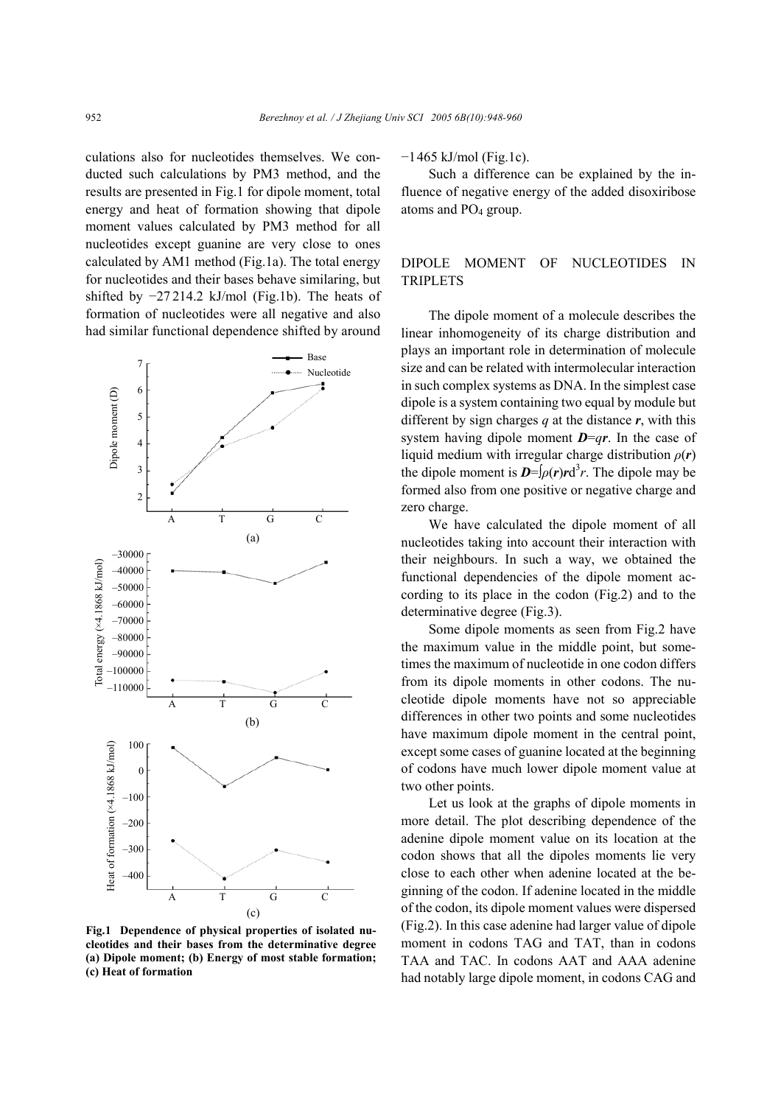culations also for nucleotides themselves. We conducted such calculations by PM3 method, and the results are presented in Fig.1 for dipole moment, total energy and heat of formation showing that dipole moment values calculated by PM3 method for all nucleotides except guanine are very close to ones calculated by AM1 method (Fig.1a). The total energy for nucleotides and their bases behave similaring, but shifted by  $-27214.2$  kJ/mol (Fig.1b). The heats of formation of nucleotides were all negative and also had similar functional dependence shifted by around



**Fig.1 Dependence of physical properties of isolated nucleotides and their bases from the determinative degree (a) Dipole moment; (b) Energy of most stable formation; (c) Heat of formation** 

−1465 kJ/mol (Fig.1c).

Such a difference can be explained by the influence of negative energy of the added disoxiribose atoms and  $PO<sub>4</sub>$  group.

# DIPOLE MOMENT OF NUCLEOTIDES IN TRIPLETS

The dipole moment of a molecule describes the linear inhomogeneity of its charge distribution and plays an important role in determination of molecule size and can be related with intermolecular interaction in such complex systems as DNA. In the simplest case dipole is a system containing two equal by module but different by sign charges  $q$  at the distance  $r$ , with this system having dipole moment *D*=*qr*. In the case of liquid medium with irregular charge distribution *ρ*(*r*) the dipole moment is  $D=\int \rho(r)r d^3r$ . The dipole may be formed also from one positive or negative charge and zero charge.

We have calculated the dipole moment of all nucleotides taking into account their interaction with their neighbours. In such a way, we obtained the functional dependencies of the dipole moment according to its place in the codon (Fig.2) and to the determinative degree (Fig.3).

Some dipole moments as seen from Fig.2 have the maximum value in the middle point, but sometimes the maximum of nucleotide in one codon differs from its dipole moments in other codons. The nucleotide dipole moments have not so appreciable differences in other two points and some nucleotides have maximum dipole moment in the central point, except some cases of guanine located at the beginning of codons have much lower dipole moment value at two other points.

Let us look at the graphs of dipole moments in more detail. The plot describing dependence of the adenine dipole moment value on its location at the codon shows that all the dipoles moments lie very close to each other when adenine located at the beginning of the codon. If adenine located in the middle of the codon, its dipole moment values were dispersed (Fig.2). In this case adenine had larger value of dipole moment in codons TAG and TAT, than in codons TAA and TAC. In codons AAT and AAA adenine had notably large dipole moment, in codons CAG and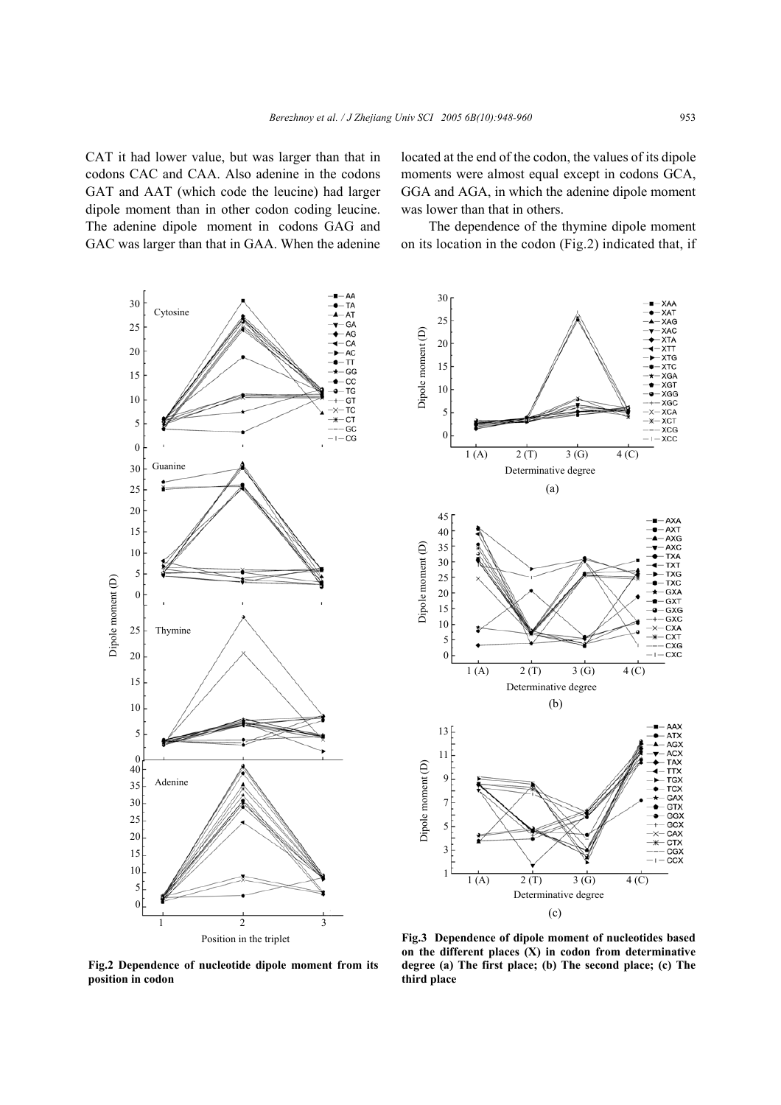CAT it had lower value, but was larger than that in codons CAC and CAA. Also adenine in the codons GAT and AAT (which code the leucine) had larger dipole moment than in other codon coding leucine. The adenine dipole moment in codons GAG and GAC was larger than that in GAA. When the adenine located at the end of the codon, the values of its dipole moments were almost equal except in codons GCA, GGA and AGA, in which the adenine dipole moment was lower than that in others.

The dependence of the thymine dipole moment on its location in the codon (Fig.2) indicated that, if





**Fig.2 Dependence of nucleotide dipole moment from its position in codon** 

**Fig.3 Dependence of dipole moment of nucleotides based on the different places (X) in codon from determinative degree (a) The first place; (b) The second place; (c) The third place**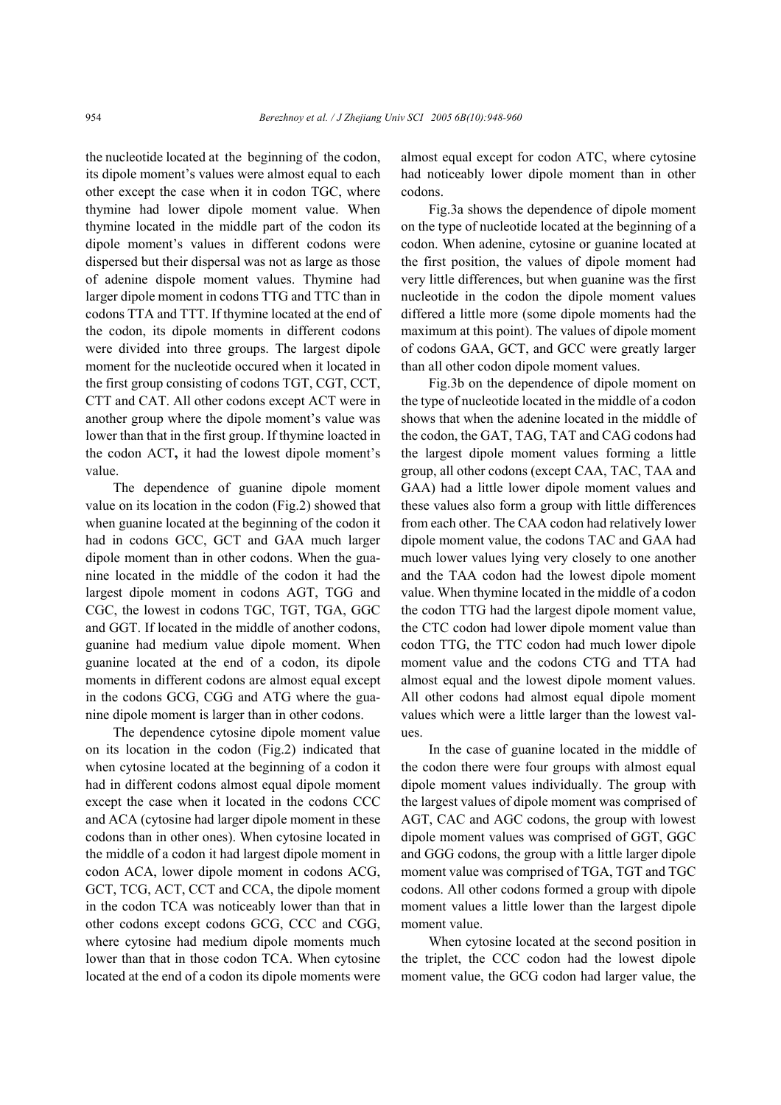the nucleotide located at the beginning of the codon, its dipole moment's values were almost equal to each other except the case when it in codon TGC, where thymine had lower dipole moment value. When thymine located in the middle part of the codon its dipole moment's values in different codons were dispersed but their dispersal was not as large as those of adenine dispole moment values. Thymine had larger dipole moment in codons TTG and TTC than in codons TTA and TTT. If thymine located at the end of the codon, its dipole moments in different codons were divided into three groups. The largest dipole moment for the nucleotide occured when it located in the first group consisting of codons TGT, CGT, CCT, CTT and CAT. All other codons except ACT were in another group where the dipole moment's value was lower than that in the first group. If thymine loacted in the codon ACT**,** it had the lowest dipole moment's value.

The dependence of guanine dipole moment value on its location in the codon (Fig.2) showed that when guanine located at the beginning of the codon it had in codons GCC, GCT and GAA much larger dipole moment than in other codons. When the guanine located in the middle of the codon it had the largest dipole moment in codons AGT, TGG and CGC, the lowest in codons TGC, TGT, TGA, GGC and GGT. If located in the middle of another codons, guanine had medium value dipole moment. When guanine located at the end of a codon, its dipole moments in different codons are almost equal except in the codons GCG, CGG and ATG where the guanine dipole moment is larger than in other codons.

The dependence cytosine dipole moment value on its location in the codon (Fig.2) indicated that when cytosine located at the beginning of a codon it had in different codons almost equal dipole moment except the case when it located in the codons CCC and ACA (cytosine had larger dipole moment in these codons than in other ones). When cytosine located in the middle of a codon it had largest dipole moment in codon ACA, lower dipole moment in codons ACG, GCT, TCG, ACT, CCT and CCA, the dipole moment in the codon TCA was noticeably lower than that in other codons except codons GCG, CCC and CGG, where cytosine had medium dipole moments much lower than that in those codon TCA. When cytosine located at the end of a codon its dipole moments were almost equal except for codon ATC, where cytosine had noticeably lower dipole moment than in other codons.

Fig.3a shows the dependence of dipole moment on the type of nucleotide located at the beginning of a codon. When adenine, cytosine or guanine located at the first position, the values of dipole moment had very little differences, but when guanine was the first nucleotide in the codon the dipole moment values differed a little more (some dipole moments had the maximum at this point). The values of dipole moment of codons GAA, GCT, and GCC were greatly larger than all other codon dipole moment values.

Fig.3b on the dependence of dipole moment on the type of nucleotide located in the middle of a codon shows that when the adenine located in the middle of the codon, the GAT, TAG, TAT and CAG codons had the largest dipole moment values forming a little group, all other codons (except CAA, TAC, TAA and GAA) had a little lower dipole moment values and these values also form a group with little differences from each other. The CAA codon had relatively lower dipole moment value, the codons TAC and GAA had much lower values lying very closely to one another and the TAA codon had the lowest dipole moment value. When thymine located in the middle of a codon the codon TTG had the largest dipole moment value, the CTC codon had lower dipole moment value than codon TTG, the TTC codon had much lower dipole moment value and the codons CTG and TTA had almost equal and the lowest dipole moment values. All other codons had almost equal dipole moment values which were a little larger than the lowest values.

In the case of guanine located in the middle of the codon there were four groups with almost equal dipole moment values individually. The group with the largest values of dipole moment was comprised of AGT, CAC and AGC codons, the group with lowest dipole moment values was comprised of GGT, GGC and GGG codons, the group with a little larger dipole moment value was comprised of TGA, TGT and TGC codons. All other codons formed a group with dipole moment values a little lower than the largest dipole moment value.

When cytosine located at the second position in the triplet, the CCC codon had the lowest dipole moment value, the GCG codon had larger value, the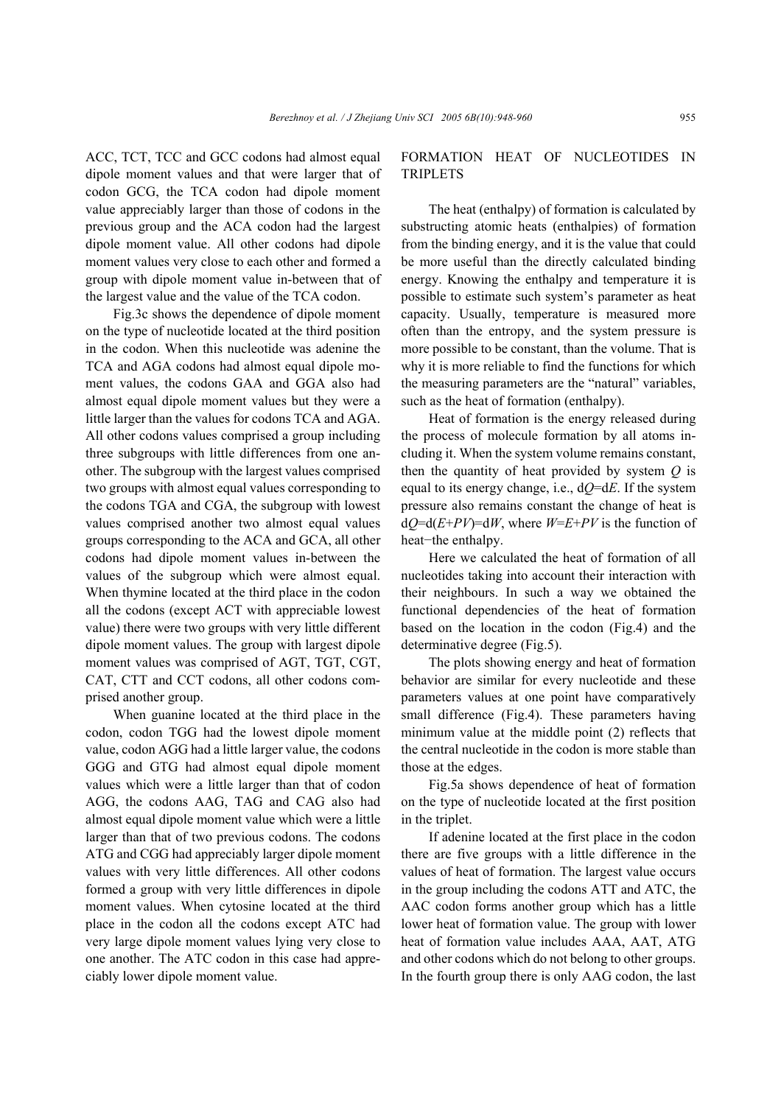ACC, TCT, TCC and GCC codons had almost equal dipole moment values and that were larger that of codon GCG, the TCA codon had dipole moment value appreciably larger than those of codons in the previous group and the ACA codon had the largest dipole moment value. All other codons had dipole moment values very close to each other and formed a group with dipole moment value in-between that of the largest value and the value of the TCA codon.

Fig.3c shows the dependence of dipole moment on the type of nucleotide located at the third position in the codon. When this nucleotide was adenine the TCA and AGA codons had almost equal dipole moment values, the codons GAA and GGA also had almost equal dipole moment values but they were a little larger than the values for codons TCA and AGA. All other codons values comprised a group including three subgroups with little differences from one another. The subgroup with the largest values comprised two groups with almost equal values corresponding to the codons TGA and CGA, the subgroup with lowest values comprised another two almost equal values groups corresponding to the ACA and GCA, all other codons had dipole moment values in-between the values of the subgroup which were almost equal. When thymine located at the third place in the codon all the codons (except ACT with appreciable lowest value) there were two groups with very little different dipole moment values. The group with largest dipole moment values was comprised of AGT, TGT, CGT, CAT, CTT and CCT codons, all other codons comprised another group.

When guanine located at the third place in the codon, codon TGG had the lowest dipole moment value, codon AGG had a little larger value, the codons GGG and GTG had almost equal dipole moment values which were a little larger than that of codon AGG, the codons AAG, TAG and CAG also had almost equal dipole moment value which were a little larger than that of two previous codons. The codons ATG and CGG had appreciably larger dipole moment values with very little differences. All other codons formed a group with very little differences in dipole moment values. When cytosine located at the third place in the codon all the codons except ATC had very large dipole moment values lying very close to one another. The ATC codon in this case had appreciably lower dipole moment value.

# FORMATION HEAT OF NUCLEOTIDES IN **TRIPLETS**

The heat (enthalpy) of formation is calculated by substructing atomic heats (enthalpies) of formation from the binding energy, and it is the value that could be more useful than the directly calculated binding energy. Knowing the enthalpy and temperature it is possible to estimate such system's parameter as heat capacity. Usually, temperature is measured more often than the entropy, and the system pressure is more possible to be constant, than the volume. That is why it is more reliable to find the functions for which the measuring parameters are the "natural" variables, such as the heat of formation (enthalpy).

Heat of formation is the energy released during the process of molecule formation by all atoms including it. When the system volume remains constant, then the quantity of heat provided by system *Q* is equal to its energy change, i.e., d*Q*=d*E*. If the system pressure also remains constant the change of heat is  $dQ = d(E + PV) = dW$ , where  $W = E + PV$  is the function of heat−the enthalpy.

Here we calculated the heat of formation of all nucleotides taking into account their interaction with their neighbours. In such a way we obtained the functional dependencies of the heat of formation based on the location in the codon (Fig.4) and the determinative degree (Fig.5).

The plots showing energy and heat of formation behavior are similar for every nucleotide and these parameters values at one point have comparatively small difference (Fig.4). These parameters having minimum value at the middle point (2) reflects that the central nucleotide in the codon is more stable than those at the edges.

Fig.5a shows dependence of heat of formation on the type of nucleotide located at the first position in the triplet.

If adenine located at the first place in the codon there are five groups with a little difference in the values of heat of formation. The largest value occurs in the group including the codons ATT and ATC, the AAC codon forms another group which has a little lower heat of formation value. The group with lower heat of formation value includes AAA, AAT, ATG and other codons which do not belong to other groups. In the fourth group there is only AAG codon, the last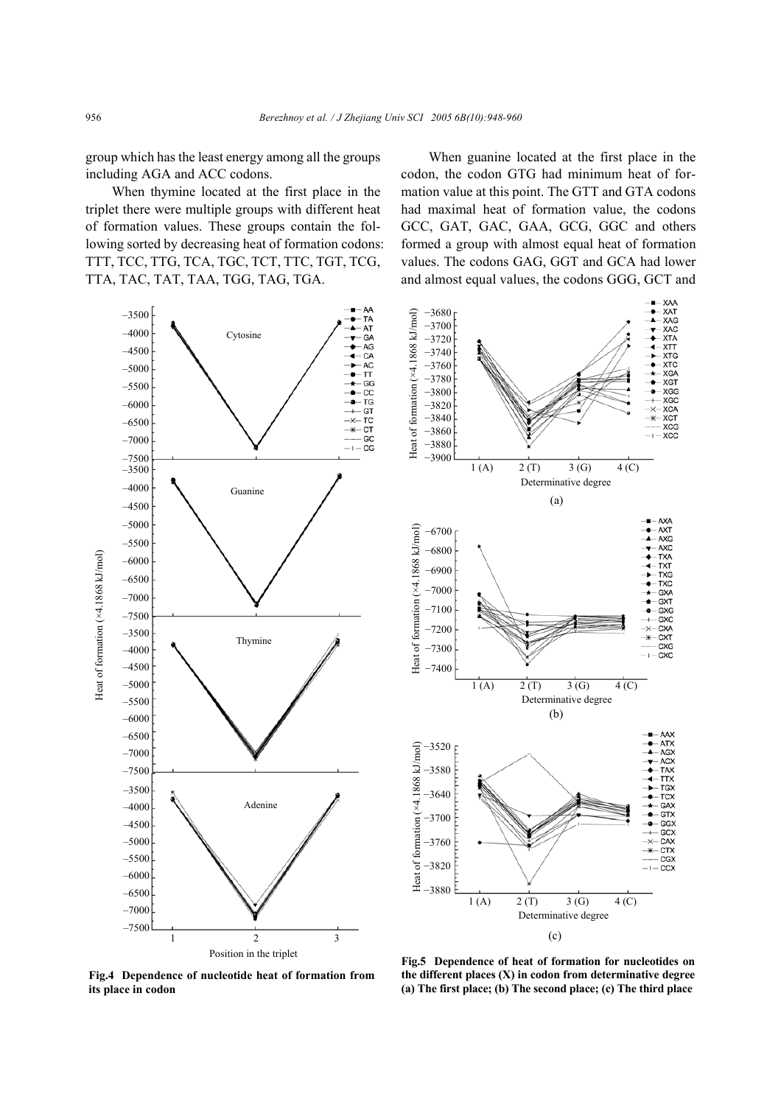group which has the least energy among all the groups including AGA and ACC codons.

When thymine located at the first place in the triplet there were multiple groups with different heat of formation values. These groups contain the following sorted by decreasing heat of formation codons: TTT, TCC, TTG, TCA, TGC, TCT, TTC, TGT, TCG, TTA, TAC, TAT, TAA, TGG, TAG, TGA.

When guanine located at the first place in the codon, the codon GTG had minimum heat of formation value at this point. The GTT and GTA codons had maximal heat of formation value, the codons GCC, GAT, GAC, GAA, GCG, GGC and others formed a group with almost equal heat of formation values. The codons GAG, GGT and GCA had lower and almost equal values, the codons GGG, GCT and





**Fig.4 Dependence of nucleotide heat of formation from its place in codon** 

**Fig.5 Dependence of heat of formation for nucleotides on the different places (X) in codon from determinative degree (a) The first place; (b) The second place; (c) The third place**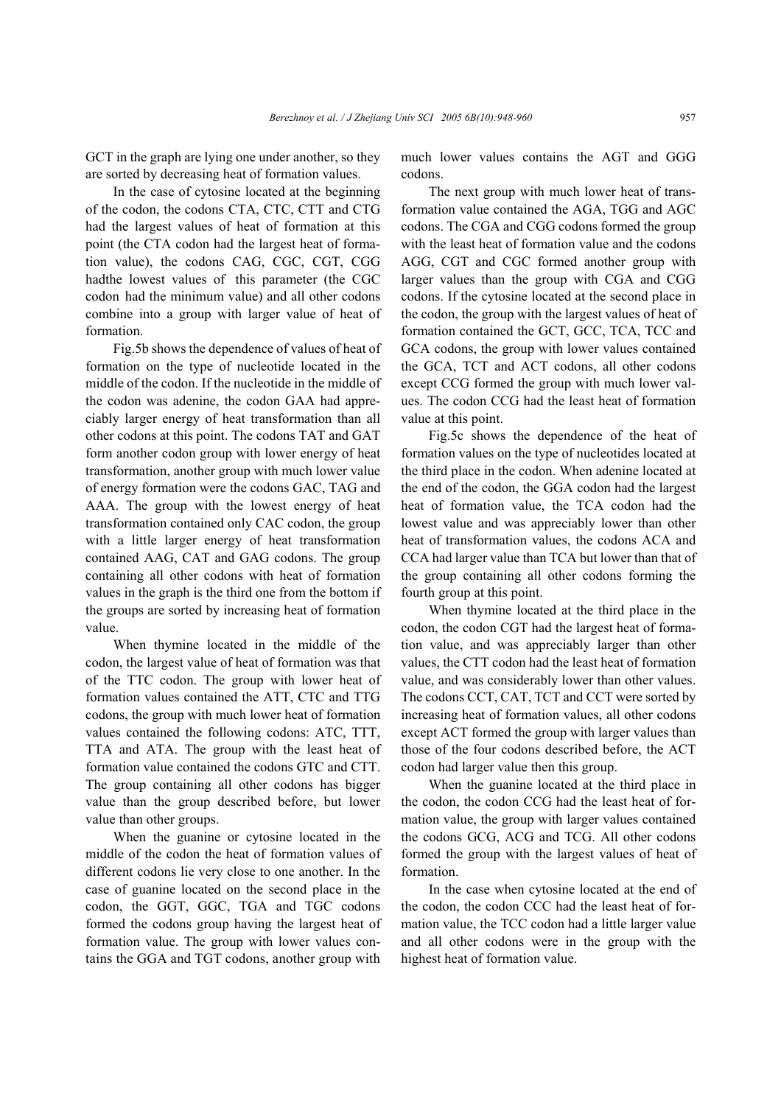GCT in the graph are lying one under another, so they are sorted by decreasing heat of formation values.

In the case of cytosine located at the beginning of the codon, the codons CTA, CTC, CTT and CTG had the largest values of heat of formation at this point (the CTA codon had the largest heat of formation value), the codons CAG, CGC, CGT, CGG hadthe lowest values of this parameter (the CGC codon had the minimum value) and all other codons combine into a group with larger value of heat of formation.

Fig.5b shows the dependence of values of heat of formation on the type of nucleotide located in the middle of the codon. If the nucleotide in the middle of the codon was adenine, the codon GAA had appreciably larger energy of heat transformation than all other codons at this point. The codons TAT and GAT form another codon group with lower energy of heat transformation, another group with much lower value of energy formation were the codons GAC, TAG and AAA. The group with the lowest energy of heat transformation contained only CAC codon, the group with a little larger energy of heat transformation contained AAG, CAT and GAG codons. The group containing all other codons with heat of formation values in the graph is the third one from the bottom if the groups are sorted by increasing heat of formation value.

When thymine located in the middle of the codon, the largest value of heat of formation was that of the TTC codon. The group with lower heat of formation values contained the ATT, CTC and TTG codons, the group with much lower heat of formation values contained the following codons: ATC, TTT, TTA and ATA. The group with the least heat of formation value contained the codons GTC and CTT. The group containing all other codons has bigger value than the group described before, but lower value than other groups.

When the guanine or cytosine located in the middle of the codon the heat of formation values of different codons lie very close to one another. In the case of guanine located on the second place in the codon, the GGT, GGC, TGA and TGC codons formed the codons group having the largest heat of formation value. The group with lower values contains the GGA and TGT codons, another group with

much lower values contains the AGT and GGG codons.

The next group with much lower heat of transformation value contained the AGA, TGG and AGC codons. The CGA and CGG codons formed the group with the least heat of formation value and the codons AGG, CGT and CGC formed another group with larger values than the group with CGA and CGG codons. If the cytosine located at the second place in the codon, the group with the largest values of heat of formation contained the GCT, GCC, TCA, TCC and GCA codons, the group with lower values contained the GCA, TCT and ACT codons, all other codons except CCG formed the group with much lower values. The codon CCG had the least heat of formation value at this point.

Fig.5c shows the dependence of the heat of formation values on the type of nucleotides located at the third place in the codon. When adenine located at the end of the codon, the GGA codon had the largest heat of formation value, the TCA codon had the lowest value and was appreciably lower than other heat of transformation values, the codons ACA and CCA had larger value than TCA but lower than that of the group containing all other codons forming the fourth group at this point.

When thymine located at the third place in the codon, the codon CGT had the largest heat of formation value, and was appreciably larger than other values, the CTT codon had the least heat of formation value, and was considerably lower than other values. The codons CCT, CAT, TCT and CCT were sorted by increasing heat of formation values, all other codons except ACT formed the group with larger values than those of the four codons described before, the ACT codon had larger value then this group.

When the guanine located at the third place in the codon, the codon CCG had the least heat of formation value, the group with larger values contained the codons GCG, ACG and TCG. All other codons formed the group with the largest values of heat of formation.

In the case when cytosine located at the end of the codon, the codon CCC had the least heat of formation value, the TCC codon had a little larger value and all other codons were in the group with the highest heat of formation value.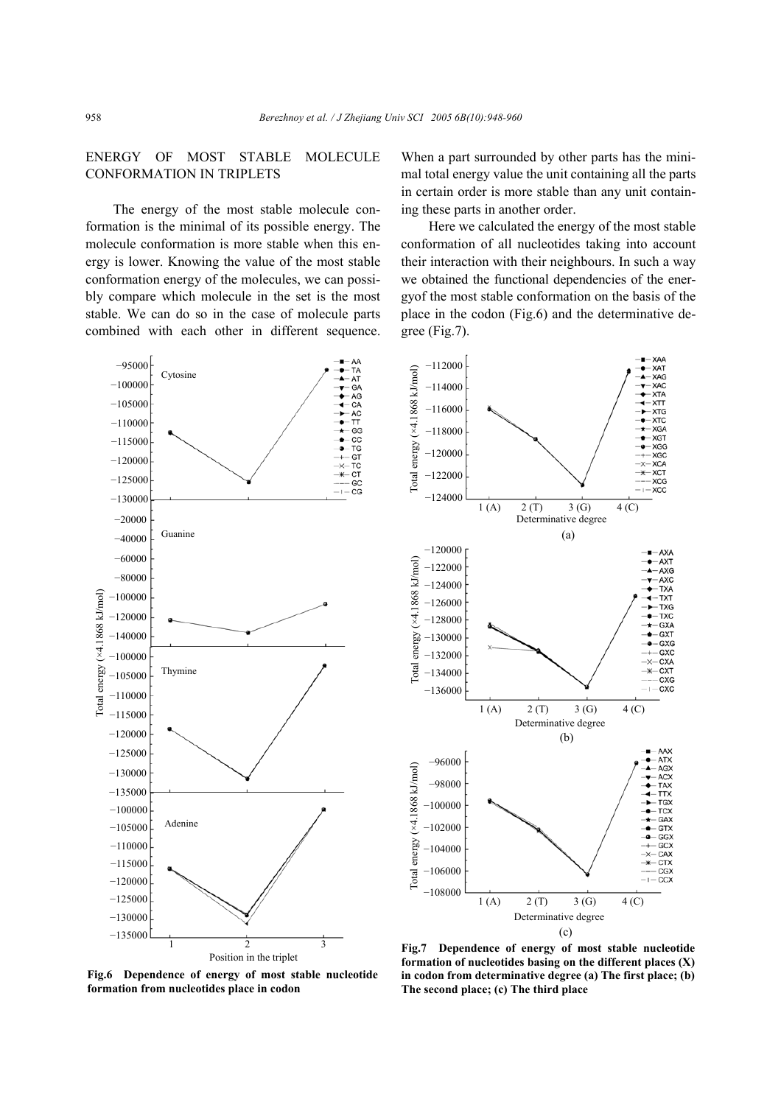# ENERGY OF MOST STABLE MOLECULE CONFORMATION IN TRIPLETS

The energy of the most stable molecule conformation is the minimal of its possible energy. The molecule conformation is more stable when this energy is lower. Knowing the value of the most stable conformation energy of the molecules, we can possibly compare which molecule in the set is the most stable. We can do so in the case of molecule parts combined with each other in different sequence. When a part surrounded by other parts has the minimal total energy value the unit containing all the parts in certain order is more stable than any unit containing these parts in another order.

Here we calculated the energy of the most stable conformation of all nucleotides taking into account their interaction with their neighbours. In such a way we obtained the functional dependencies of the energyof the most stable conformation on the basis of the place in the codon (Fig.6) and the determinative degree (Fig.7).





**Fig.6 Dependence of energy of most stable nucleotide formation from nucleotides place in codon** 

**Fig.7 Dependence of energy of most stable nucleotide formation of nucleotides basing on the different places (X) in codon from determinative degree (a) The first place; (b) The second place; (c) The third place**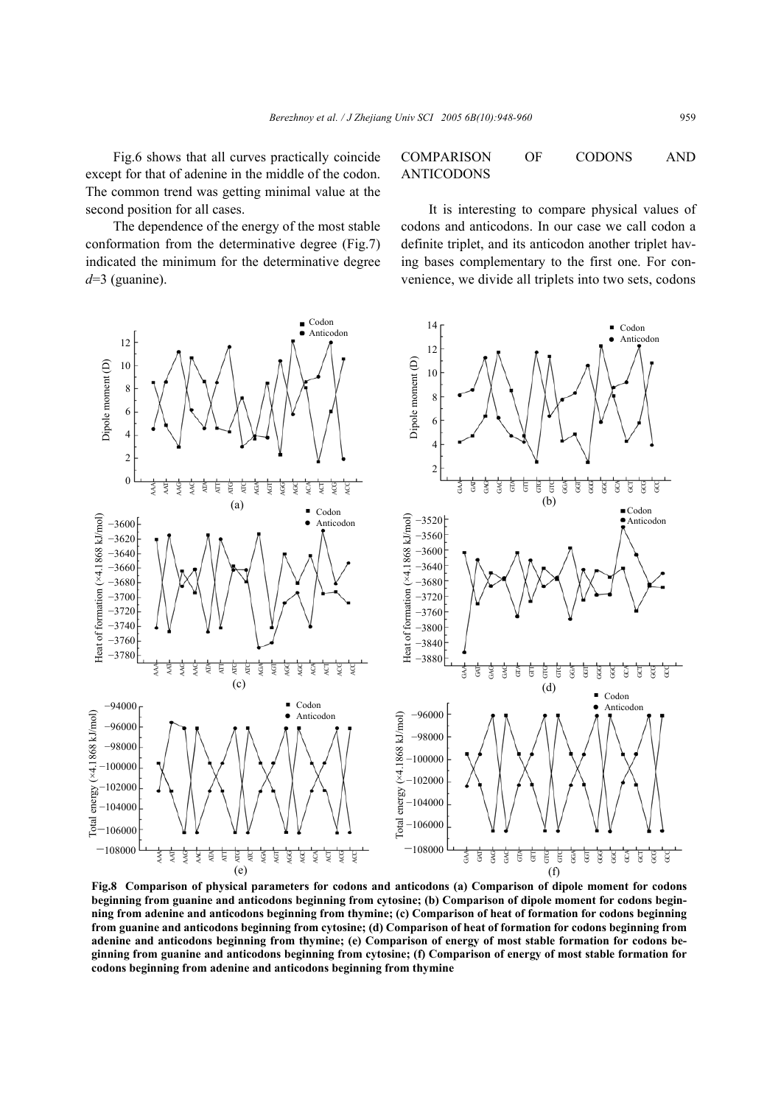Fig.6 shows that all curves practically coincide except for that of adenine in the middle of the codon. The common trend was getting minimal value at the second position for all cases.

The dependence of the energy of the most stable conformation from the determinative degree (Fig.7) indicated the minimum for the determinative degree *d*=3 (guanine).

## COMPARISON OF CODONS AND ANTICODONS

It is interesting to compare physical values of codons and anticodons. In our case we call codon a definite triplet, and its anticodon another triplet having bases complementary to the first one. For convenience, we divide all triplets into two sets, codons



**Fig.8 Comparison of physical parameters for codons and anticodons (a) Comparison of dipole moment for codons beginning from guanine and anticodons beginning from cytosine; (b) Comparison of dipole moment for codons beginning from adenine and anticodons beginning from thymine; (c) Comparison of heat of formation for codons beginning from guanine and anticodons beginning from cytosine; (d) Comparison of heat of formation for codons beginning from adenine and anticodons beginning from thymine; (e) Comparison of energy of most stable formation for codons beginning from guanine and anticodons beginning from cytosine; (f) Comparison of energy of most stable formation for codons beginning from adenine and anticodons beginning from thymine**